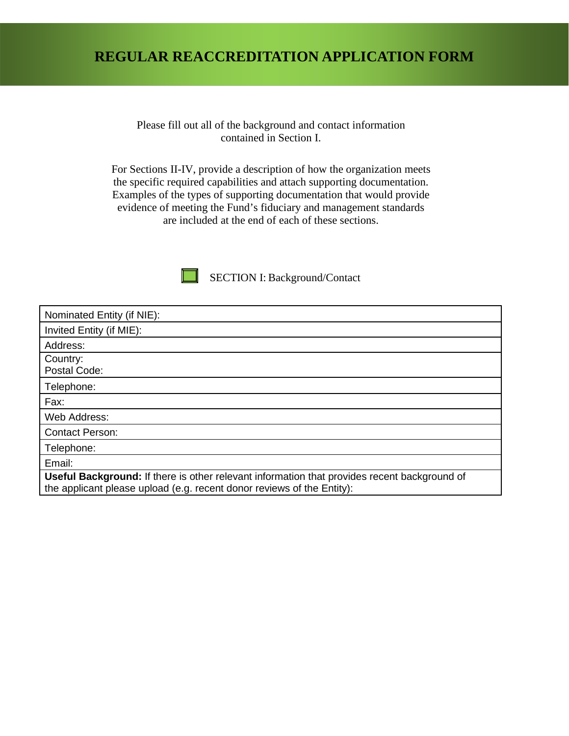#### **REGULAR REACCREDITATION APPLICATION FORM**

Please fill out all of the background and contact information contained in Section I.

For Sections II-IV, provide a description of how the organization meets the specific required capabilities and attach supporting documentation. Examples of the types of supporting documentation that would provide evidence of meeting the Fund's fiduciary and management standards are included at the end of each of these sections.



SECTION I: Background/Contact

| Nominated Entity (if NIE):                                                                                                                                             |
|------------------------------------------------------------------------------------------------------------------------------------------------------------------------|
| Invited Entity (if MIE):                                                                                                                                               |
| Address:                                                                                                                                                               |
| Country:<br>Postal Code:                                                                                                                                               |
| Telephone:                                                                                                                                                             |
| Fax:                                                                                                                                                                   |
| Web Address:                                                                                                                                                           |
| <b>Contact Person:</b>                                                                                                                                                 |
| Telephone:                                                                                                                                                             |
| Email:                                                                                                                                                                 |
| Useful Background: If there is other relevant information that provides recent background of<br>the applicant please upload (e.g. recent donor reviews of the Entity): |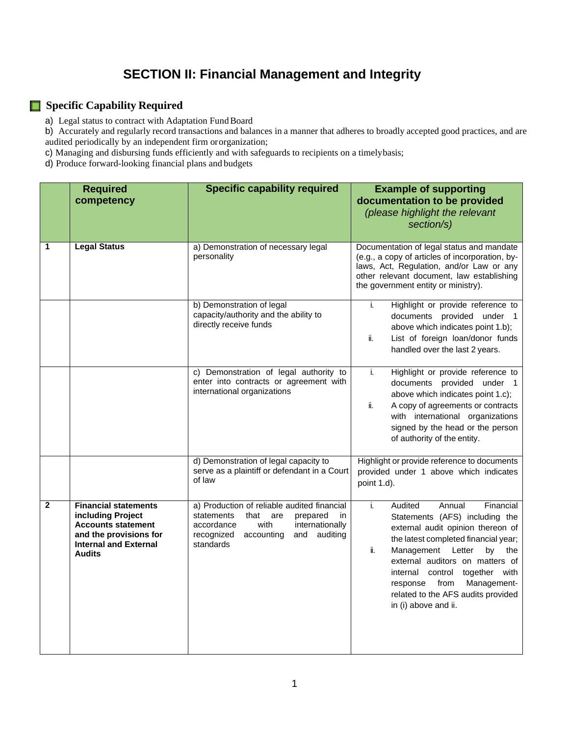# **SECTION II: Financial Management and Integrity**

#### **Specific Capability Required**

a) Legal status to contract with Adaptation Fund Board

b) Accurately and regularly record transactions and balances in a manner that adheres to broadly accepted good practices, and are audited periodically by an independent firm ororganization;

c) Managing and disbursing funds efficiently and with safeguards to recipients on a timelybasis;

d) Produce forward-looking financial plans and budgets

|              | <b>Required</b><br>competency                                                                                                                            | <b>Specific capability required</b>                                                                                                                                                              | <b>Example of supporting</b><br>documentation to be provided<br>(please highlight the relevant<br>section/s)                                                                                                                                                                                                                                                          |
|--------------|----------------------------------------------------------------------------------------------------------------------------------------------------------|--------------------------------------------------------------------------------------------------------------------------------------------------------------------------------------------------|-----------------------------------------------------------------------------------------------------------------------------------------------------------------------------------------------------------------------------------------------------------------------------------------------------------------------------------------------------------------------|
| 1            | <b>Legal Status</b>                                                                                                                                      | a) Demonstration of necessary legal<br>personality                                                                                                                                               | Documentation of legal status and mandate<br>(e.g., a copy of articles of incorporation, by-<br>laws, Act, Regulation, and/or Law or any<br>other relevant document, law establishing<br>the government entity or ministry).                                                                                                                                          |
|              |                                                                                                                                                          | b) Demonstration of legal<br>capacity/authority and the ability to<br>directly receive funds                                                                                                     | Highlight or provide reference to<br>i.<br>documents provided under 1<br>above which indicates point 1.b);<br>ii.<br>List of foreign loan/donor funds<br>handled over the last 2 years.                                                                                                                                                                               |
|              |                                                                                                                                                          | c) Demonstration of legal authority to<br>enter into contracts or agreement with<br>international organizations                                                                                  | i.<br>Highlight or provide reference to<br>documents provided under 1<br>above which indicates point 1.c);<br>ii.<br>A copy of agreements or contracts<br>with international organizations<br>signed by the head or the person<br>of authority of the entity.                                                                                                         |
|              |                                                                                                                                                          | d) Demonstration of legal capacity to<br>serve as a plaintiff or defendant in a Court<br>of law                                                                                                  | Highlight or provide reference to documents<br>provided under 1 above which indicates<br>point 1.d).                                                                                                                                                                                                                                                                  |
| $\mathbf{2}$ | <b>Financial statements</b><br>including Project<br><b>Accounts statement</b><br>and the provisions for<br><b>Internal and External</b><br><b>Audits</b> | a) Production of reliable audited financial<br>statements<br>that<br>are<br>prepared<br>in.<br>internationally<br>accordance<br>with<br>recognized<br>accounting<br>and<br>auditing<br>standards | i.<br>Audited<br>Annual<br>Financial<br>Statements (AFS) including the<br>external audit opinion thereon of<br>the latest completed financial year;<br>ii.<br>Management Letter<br>by<br>the<br>external auditors on matters of<br>together with<br>internal control<br>Management-<br>response<br>from<br>related to the AFS audits provided<br>in (i) above and ii. |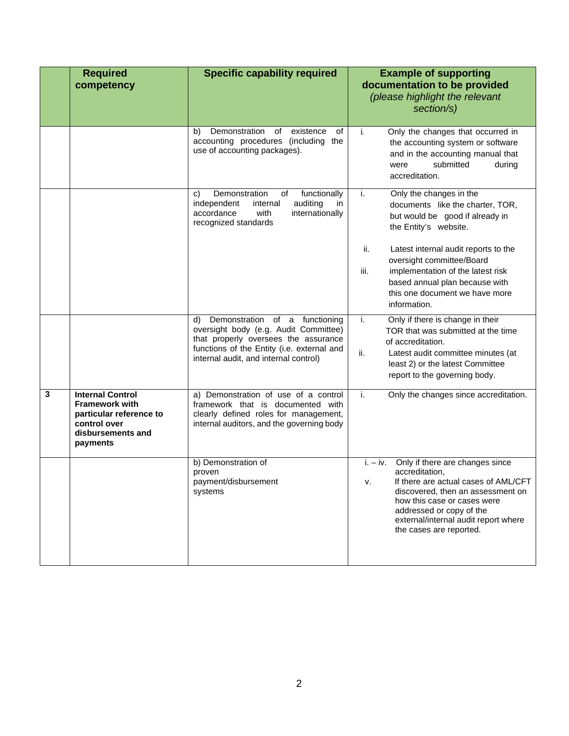|   | <b>Required</b><br>competency                                                                                                | <b>Specific capability required</b>                                                                                                                                                                          | <b>Example of supporting</b><br>documentation to be provided<br>(please highlight the relevant<br>section/s)                                                                                                                                                                  |
|---|------------------------------------------------------------------------------------------------------------------------------|--------------------------------------------------------------------------------------------------------------------------------------------------------------------------------------------------------------|-------------------------------------------------------------------------------------------------------------------------------------------------------------------------------------------------------------------------------------------------------------------------------|
|   |                                                                                                                              | Demonstration<br>existence<br>of<br>оf<br>b)<br>accounting procedures (including the<br>use of accounting packages).                                                                                         | Only the changes that occurred in<br>j.<br>the accounting system or software<br>and in the accounting manual that<br>submitted<br>during<br>were<br>accreditation.                                                                                                            |
|   |                                                                                                                              | Demonstration<br>functionally<br>οf<br>C)<br>auditing<br>independent<br>internal<br>in<br>accordance<br>with<br>internationally<br>recognized standards                                                      | Only the changes in the<br>j.<br>documents like the charter, TOR,<br>but would be good if already in<br>the Entity's website.                                                                                                                                                 |
|   |                                                                                                                              |                                                                                                                                                                                                              | ii.<br>Latest internal audit reports to the<br>oversight committee/Board<br>iii.<br>implementation of the latest risk<br>based annual plan because with<br>this one document we have more<br>information.                                                                     |
|   |                                                                                                                              | Demonstration of a functioning<br>d)<br>oversight body (e.g. Audit Committee)<br>that properly oversees the assurance<br>functions of the Entity (i.e. external and<br>internal audit, and internal control) | i.<br>Only if there is change in their<br>TOR that was submitted at the time<br>of accreditation.<br>ii.<br>Latest audit committee minutes (at<br>least 2) or the latest Committee<br>report to the governing body.                                                           |
| 3 | <b>Internal Control</b><br><b>Framework with</b><br>particular reference to<br>control over<br>disbursements and<br>payments | a) Demonstration of use of a control<br>framework that is documented with<br>clearly defined roles for management,<br>internal auditors, and the governing body                                              | i.<br>Only the changes since accreditation.                                                                                                                                                                                                                                   |
|   |                                                                                                                              | b) Demonstration of<br>proven<br>payment/disbursement<br>systems                                                                                                                                             | $i. - iv.$ Only if there are changes since<br>accreditation,<br>If there are actual cases of AML/CFT<br>v.<br>discovered, then an assessment on<br>how this case or cases were<br>addressed or copy of the<br>external/internal audit report where<br>the cases are reported. |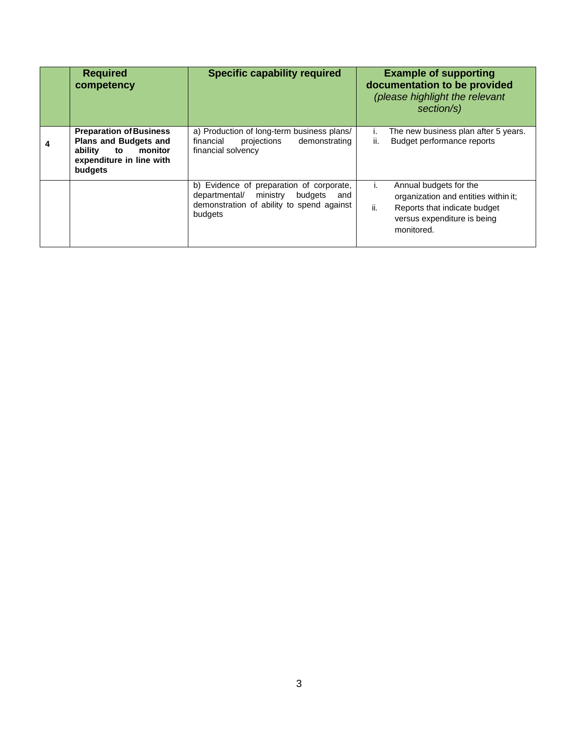| <b>Required</b><br>competency                                                                                                     | <b>Specific capability required</b>                                                                                                       | <b>Example of supporting</b><br>documentation to be provided<br>(please highlight the relevant<br>section/s)                                             |
|-----------------------------------------------------------------------------------------------------------------------------------|-------------------------------------------------------------------------------------------------------------------------------------------|----------------------------------------------------------------------------------------------------------------------------------------------------------|
| <b>Preparation of Business</b><br><b>Plans and Budgets and</b><br>ability<br>monitor<br>to<br>expenditure in line with<br>budgets | a) Production of long-term business plans/<br>financial<br>projections<br>demonstrating<br>financial solvency                             | The new business plan after 5 years.<br>ı.<br>Budget performance reports<br>ii.                                                                          |
|                                                                                                                                   | b) Evidence of preparation of corporate,<br>departmental/ ministry budgets<br>and<br>demonstration of ability to spend against<br>budgets | Annual budgets for the<br>Ι.<br>organization and entities within it;<br>ii.<br>Reports that indicate budget<br>versus expenditure is being<br>monitored. |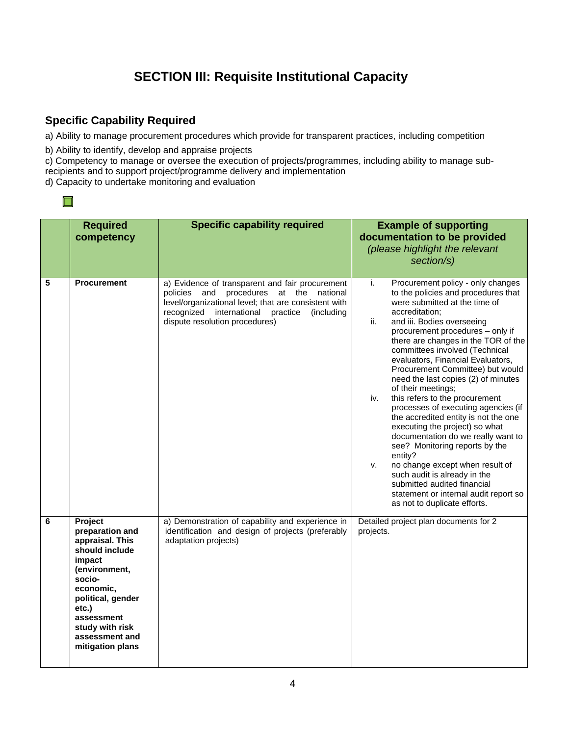### **SECTION III: Requisite Institutional Capacity**

#### **Specific Capability Required**

a) Ability to manage procurement procedures which provide for transparent practices, including competition

b) Ability to identify, develop and appraise projects

c) Competency to manage or oversee the execution of projects/programmes, including ability to manage subrecipients and to support project/programme delivery and implementation

d) Capacity to undertake monitoring and evaluation

|   | <b>Required</b><br>competency                                                                                                                                                                                          | <b>Specific capability required</b>                                                                                                                                                                                                     | <b>Example of supporting</b><br>documentation to be provided<br>(please highlight the relevant<br>section/s)                                                                                                                                                                                                                                                                                                                                                                                                                                                                                                                                                                                                                                                                                                                                            |
|---|------------------------------------------------------------------------------------------------------------------------------------------------------------------------------------------------------------------------|-----------------------------------------------------------------------------------------------------------------------------------------------------------------------------------------------------------------------------------------|---------------------------------------------------------------------------------------------------------------------------------------------------------------------------------------------------------------------------------------------------------------------------------------------------------------------------------------------------------------------------------------------------------------------------------------------------------------------------------------------------------------------------------------------------------------------------------------------------------------------------------------------------------------------------------------------------------------------------------------------------------------------------------------------------------------------------------------------------------|
| 5 | <b>Procurement</b>                                                                                                                                                                                                     | a) Evidence of transparent and fair procurement<br>policies and procedures at the national<br>level/organizational level; that are consistent with<br>recognized international practice<br>(including<br>dispute resolution procedures) | i.<br>Procurement policy - only changes<br>to the policies and procedures that<br>were submitted at the time of<br>accreditation;<br>ii.<br>and iii. Bodies overseeing<br>procurement procedures - only if<br>there are changes in the TOR of the<br>committees involved (Technical<br>evaluators, Financial Evaluators,<br>Procurement Committee) but would<br>need the last copies (2) of minutes<br>of their meetings;<br>this refers to the procurement<br>iv.<br>processes of executing agencies (if<br>the accredited entity is not the one<br>executing the project) so what<br>documentation do we really want to<br>see? Monitoring reports by the<br>entity?<br>no change except when result of<br>v.<br>such audit is already in the<br>submitted audited financial<br>statement or internal audit report so<br>as not to duplicate efforts. |
| 6 | Project<br>preparation and<br>appraisal. This<br>should include<br>impact<br>(environment,<br>socio-<br>economic,<br>political, gender<br>etc.)<br>assessment<br>study with risk<br>assessment and<br>mitigation plans | a) Demonstration of capability and experience in<br>identification and design of projects (preferably<br>adaptation projects)                                                                                                           | Detailed project plan documents for 2<br>projects.                                                                                                                                                                                                                                                                                                                                                                                                                                                                                                                                                                                                                                                                                                                                                                                                      |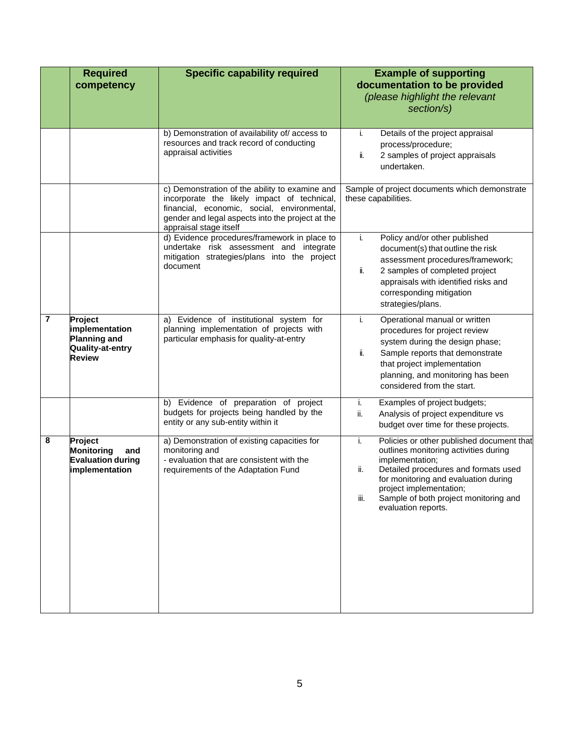|                | <b>Required</b><br>competency                                                         | <b>Specific capability required</b>                                                                                                                                                                                        | <b>Example of supporting</b><br>documentation to be provided<br>(please highlight the relevant<br>section/s)                                                                                                                                                                                          |
|----------------|---------------------------------------------------------------------------------------|----------------------------------------------------------------------------------------------------------------------------------------------------------------------------------------------------------------------------|-------------------------------------------------------------------------------------------------------------------------------------------------------------------------------------------------------------------------------------------------------------------------------------------------------|
|                |                                                                                       | b) Demonstration of availability of/access to<br>resources and track record of conducting<br>appraisal activities                                                                                                          | Details of the project appraisal<br>i.<br>process/procedure;<br>2 samples of project appraisals<br>ii.<br>undertaken.                                                                                                                                                                                 |
|                |                                                                                       | c) Demonstration of the ability to examine and<br>incorporate the likely impact of technical,<br>financial, economic, social, environmental,<br>gender and legal aspects into the project at the<br>appraisal stage itself | Sample of project documents which demonstrate<br>these capabilities.                                                                                                                                                                                                                                  |
|                |                                                                                       | d) Evidence procedures/framework in place to<br>undertake risk assessment and integrate<br>mitigation strategies/plans into the project<br>document                                                                        | Policy and/or other published<br>i.<br>document(s) that outline the risk<br>assessment procedures/framework;<br>2 samples of completed project<br>ii.<br>appraisals with identified risks and<br>corresponding mitigation<br>strategies/plans.                                                        |
| $\overline{7}$ | Project<br>implementation<br><b>Planning and</b><br>Quality-at-entry<br><b>Review</b> | a) Evidence of institutional system for<br>planning implementation of projects with<br>particular emphasis for quality-at-entry                                                                                            | i.<br>Operational manual or written<br>procedures for project review<br>system during the design phase;<br>ii.<br>Sample reports that demonstrate<br>that project implementation<br>planning, and monitoring has been<br>considered from the start.                                                   |
|                |                                                                                       | b) Evidence of preparation of project<br>budgets for projects being handled by the<br>entity or any sub-entity within it                                                                                                   | i.<br>Examples of project budgets;<br>ii.<br>Analysis of project expenditure vs<br>budget over time for these projects.                                                                                                                                                                               |
| 8              | Project<br><b>Monitoring</b><br>and<br><b>Evaluation during</b><br>implementation     | a) Demonstration of existing capacities for<br>monitoring and<br>- evaluation that are consistent with the<br>requirements of the Adaptation Fund                                                                          | Policies or other published document that<br>j.<br>outlines monitoring activities during<br>implementation;<br>Detailed procedures and formats used<br>ii.<br>for monitoring and evaluation during<br>project implementation;<br>iii.<br>Sample of both project monitoring and<br>evaluation reports. |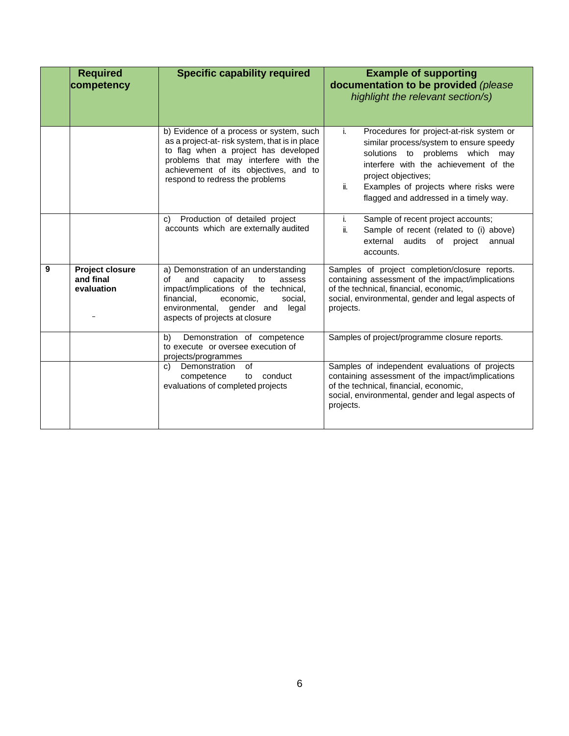|   | <b>Required</b><br>competency                     | <b>Specific capability required</b>                                                                                                                                                                                                                   | <b>Example of supporting</b><br>documentation to be provided (please<br>highlight the relevant section/s)                                                                                                                                                                              |  |
|---|---------------------------------------------------|-------------------------------------------------------------------------------------------------------------------------------------------------------------------------------------------------------------------------------------------------------|----------------------------------------------------------------------------------------------------------------------------------------------------------------------------------------------------------------------------------------------------------------------------------------|--|
|   |                                                   | b) Evidence of a process or system, such<br>as a project-at-risk system, that is in place<br>to flag when a project has developed<br>problems that may interfere with the<br>achievement of its objectives, and to<br>respond to redress the problems | i.<br>Procedures for project-at-risk system or<br>similar process/system to ensure speedy<br>solutions to problems which may<br>interfere with the achievement of the<br>project objectives;<br>Examples of projects where risks were<br>ii.<br>flagged and addressed in a timely way. |  |
|   |                                                   | Production of detailed project<br>C)<br>accounts which are externally audited                                                                                                                                                                         | Sample of recent project accounts;<br>i.<br>ii.<br>Sample of recent (related to (i) above)<br>external audits of project<br>annual<br>accounts.                                                                                                                                        |  |
| 9 | <b>Project closure</b><br>and final<br>evaluation | a) Demonstration of an understanding<br>and<br>capacity<br>οf<br>to<br>assess<br>impact/implications of the technical,<br>financial.<br>economic,<br>social.<br>environmental, gender and<br>legal<br>aspects of projects at closure                  | Samples of project completion/closure reports.<br>containing assessment of the impact/implications<br>of the technical, financial, economic,<br>social, environmental, gender and legal aspects of<br>projects.                                                                        |  |
|   |                                                   | Demonstration of competence<br>b)<br>to execute or oversee execution of<br>projects/programmes                                                                                                                                                        | Samples of project/programme closure reports.                                                                                                                                                                                                                                          |  |
|   |                                                   | Demonstration<br>of<br>C)<br>competence<br>conduct<br>to<br>evaluations of completed projects                                                                                                                                                         | Samples of independent evaluations of projects<br>containing assessment of the impact/implications<br>of the technical, financial, economic,<br>social, environmental, gender and legal aspects of<br>projects.                                                                        |  |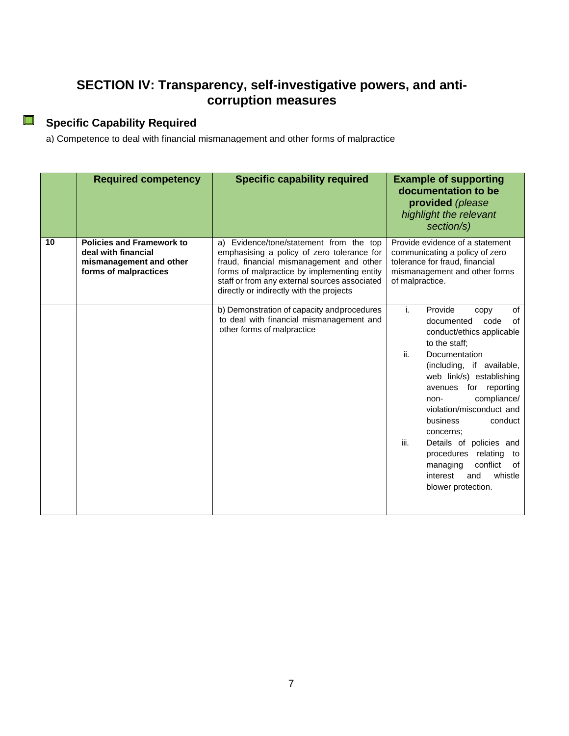#### **SECTION IV: Transparency, self-investigative powers, and anticorruption measures**

# **Specific Capability Required**

a) Competence to deal with financial mismanagement and other forms of malpractice

|    | <b>Required competency</b>                                                                                  | <b>Specific capability required</b>                                                                                                                                                                                                                                           | <b>Example of supporting</b><br>documentation to be<br>provided (please<br>highlight the relevant<br>section/s)                                                                                                                                                                                                                                                                                                                                             |
|----|-------------------------------------------------------------------------------------------------------------|-------------------------------------------------------------------------------------------------------------------------------------------------------------------------------------------------------------------------------------------------------------------------------|-------------------------------------------------------------------------------------------------------------------------------------------------------------------------------------------------------------------------------------------------------------------------------------------------------------------------------------------------------------------------------------------------------------------------------------------------------------|
| 10 | <b>Policies and Framework to</b><br>deal with financial<br>mismanagement and other<br>forms of malpractices | a) Evidence/tone/statement from the top<br>emphasising a policy of zero tolerance for<br>fraud, financial mismanagement and other<br>forms of malpractice by implementing entity<br>staff or from any external sources associated<br>directly or indirectly with the projects | Provide evidence of a statement<br>communicating a policy of zero<br>tolerance for fraud, financial<br>mismanagement and other forms<br>of malpractice.                                                                                                                                                                                                                                                                                                     |
|    |                                                                                                             | b) Demonstration of capacity and procedures<br>to deal with financial mismanagement and<br>other forms of malpractice                                                                                                                                                         | i.<br>Provide<br>of<br>copy<br>of<br>documented<br>code<br>conduct/ethics applicable<br>to the staff:<br>ii.<br>Documentation<br>(including, if available,<br>web link/s) establishing<br>avenues for reporting<br>compliance/<br>non-<br>violation/misconduct_and<br>conduct<br>business<br>concerns;<br>iii.<br>Details of policies and<br>relating<br>procedures<br>to<br>conflict<br>0f<br>managing<br>interest<br>and<br>whistle<br>blower protection. |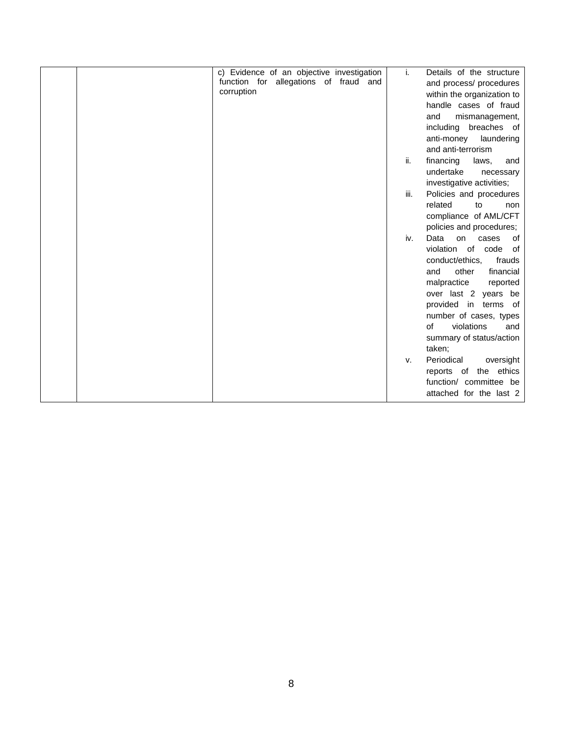| c) Evidence of an objective investigation | i.   | Details of the structure         |
|-------------------------------------------|------|----------------------------------|
| function for allegations of fraud and     |      | and process/ procedures          |
| corruption                                |      | within the organization to       |
|                                           |      | handle cases of fraud            |
|                                           |      | and<br>mismanagement,            |
|                                           |      | including breaches of            |
|                                           |      | anti-money<br>laundering         |
|                                           |      | and anti-terrorism               |
|                                           | ii.  | financing<br>laws,<br>and        |
|                                           |      | undertake<br>necessary           |
|                                           |      | investigative activities;        |
|                                           | iii. | Policies and procedures          |
|                                           |      | related<br>to<br>non             |
|                                           |      | compliance of AML/CFT            |
|                                           |      | policies and procedures;         |
|                                           | iv.  | Data<br>on<br><b>of</b><br>cases |
|                                           |      | violation of<br>code<br>0f       |
|                                           |      | conduct/ethics,<br>frauds        |
|                                           |      | other<br>financial<br>and        |
|                                           |      | malpractice<br>reported          |
|                                           |      | over last 2 years be             |
|                                           |      | provided in terms of             |
|                                           |      | number of cases, types           |
|                                           |      | of<br>violations<br>and          |
|                                           |      | summary of status/action         |
|                                           |      | taken;                           |
|                                           | v.   | Periodical<br>oversight          |
|                                           |      | reports of the ethics            |
|                                           |      | function/ committee be           |
|                                           |      | attached for the last 2          |